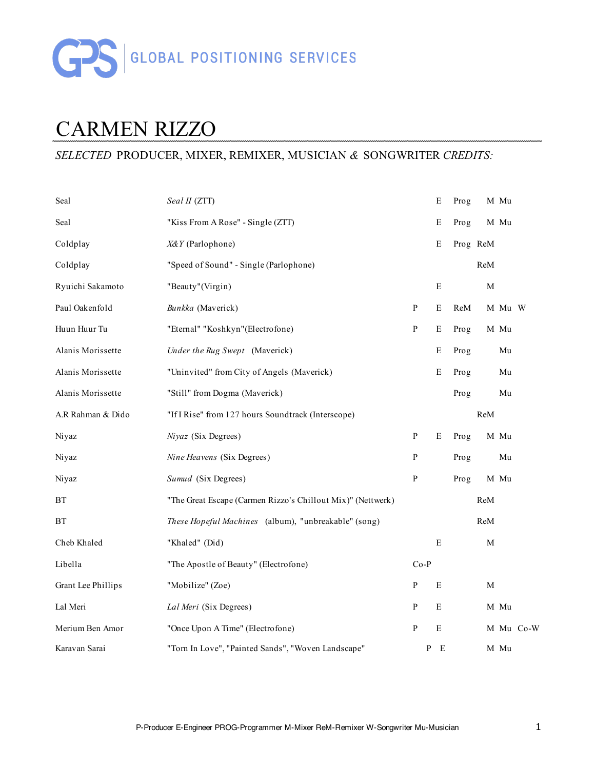

# CARMEN RIZZO

### *SELECTED* PRODUCER, MIXER, REMIXER, MUSICIAN *&* SONGWRITER *CREDITS:*

| Seal               | Seal II (ZTT)                                               |              | E           | Prog     |             | M Mu   |           |
|--------------------|-------------------------------------------------------------|--------------|-------------|----------|-------------|--------|-----------|
| Seal               | "Kiss From A Rose" - Single (ZTT)                           |              | E           | Prog     |             | M Mu   |           |
| Coldplay           | X&Y (Parlophone)                                            |              | E           | Prog ReM |             |        |           |
| Coldplay           | "Speed of Sound" - Single (Parlophone)                      |              |             |          | ReM         |        |           |
| Ryuichi Sakamoto   | "Beauty"(Virgin)                                            |              | ${\bf E}$   |          | $\mathbf M$ |        |           |
| Paul Oakenfold     | Bunkka (Maverick)                                           | $\, {\bf P}$ | E           | ReM      |             | M Mu W |           |
| Huun Huur Tu       | "Eternal" "Koshkyn"(Electrofone)                            | ${\bf P}$    | E           | Prog     |             | M Mu   |           |
| Alanis Morissette  | Under the Rug Swept (Maverick)                              |              | Е           | Prog     |             | Mu     |           |
| Alanis Morissette  | "Uninvited" from City of Angels (Maverick)                  |              | E           | Prog     |             | Mu     |           |
| Alanis Morissette  | "Still" from Dogma (Maverick)                               |              |             | Prog     |             | Mu     |           |
| A.R Rahman & Dido  | "If I Rise" from 127 hours Soundtrack (Interscope)          |              |             |          | ReM         |        |           |
| Niyaz              | Niyaz (Six Degrees)                                         | P            | Ε           | Prog     |             | M Mu   |           |
| Niyaz              | Nine Heavens (Six Degrees)                                  | ${\bf P}$    |             | Prog     |             | Mu     |           |
| Niyaz              | Sumud (Six Degrees)                                         | P            |             | Prog     |             | M Mu   |           |
| <b>BT</b>          | "The Great Escape (Carmen Rizzo's Chillout Mix)" (Nettwerk) |              |             |          | ReM         |        |           |
| <b>BT</b>          | These Hopeful Machines (album), "unbreakable" (song)        |              |             |          | ReM         |        |           |
| Cheb Khaled        | "Khaled" (Did)                                              |              | $\mathbf E$ |          | $\mathbf M$ |        |           |
| Libella            | "The Apostle of Beauty" (Electrofone)                       | $Co-P$       |             |          |             |        |           |
| Grant Lee Phillips | "Mobilize" (Zoe)                                            | $\mathbf{P}$ | E           |          | $\mathbf M$ |        |           |
| Lal Meri           | Lal Meri (Six Degrees)                                      | P            | E           |          |             | M Mu   |           |
| Merium Ben Amor    | "Once Upon A Time" (Electrofone)                            | P            | ${\bf E}$   |          |             |        | M Mu Co-W |
| Karavan Sarai      | "Torn In Love", "Painted Sands", "Woven Landscape"          | P            | E           |          |             | M Mu   |           |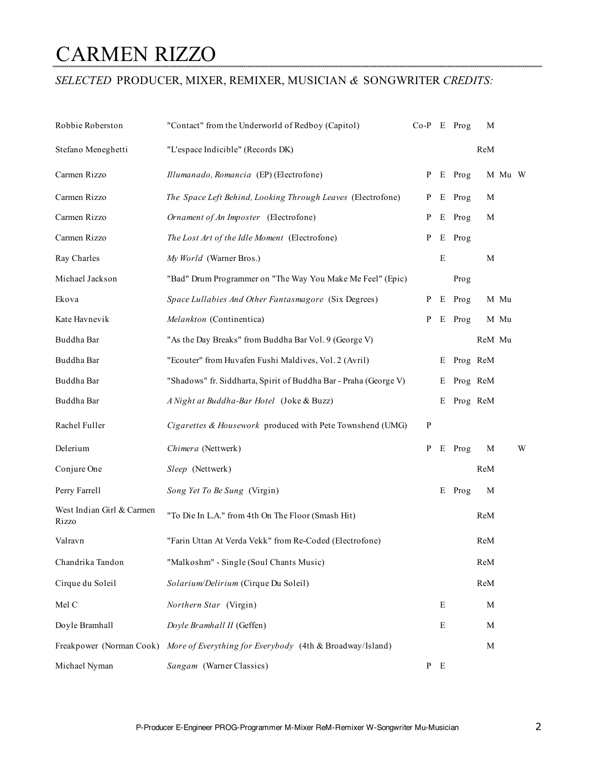### CARMEN RIZZO

#### *SELECTED* PRODUCER, MIXER, REMIXER, MUSICIAN *&* SONGWRITER *CREDITS:*

| Robbie Roberston                   | "Contact" from the Underworld of Redboy (Capitol)                | $Co-P$       |             | E Prog     | M        |        |   |
|------------------------------------|------------------------------------------------------------------|--------------|-------------|------------|----------|--------|---|
| Stefano Meneghetti                 | "L'espace Indicible" (Records DK)                                |              |             |            | ReM      |        |   |
| Carmen Rizzo                       | Illumanado, Romancia (EP) (Electrofone)                          | P            | E           | Prog       |          | M Mu W |   |
| Carmen Rizzo                       | The Space Left Behind, Looking Through Leaves (Electrofone)      | P            | E           | Prog       | M        |        |   |
| Carmen Rizzo                       | Ornament of An Imposter (Electrofone)                            | P            | Е           | Prog       | M        |        |   |
| Carmen Rizzo                       | The Lost Art of the Idle Moment (Electrofone)                    | P            |             | E Prog     |          |        |   |
| Ray Charles                        | My World (Warner Bros.)                                          |              | $\mathbf E$ |            | M        |        |   |
| Michael Jackson                    | "Bad" Drum Programmer on "The Way You Make Me Feel" (Epic)       |              |             | Prog       |          |        |   |
| Ekova                              | Space Lullabies And Other Fantasmagore (Six Degrees)             | P            | Е           | Prog       |          | M Mu   |   |
| Kate Havnevik                      | Melankton (Continentica)                                         | P            |             | E Prog     |          | M Mu   |   |
| Buddha Bar                         | "As the Day Breaks" from Buddha Bar Vol. 9 (George V)            |              |             |            | ReM Mu   |        |   |
| Buddha Bar                         | "Ecouter" from Huvafen Fushi Maldives, Vol. 2 (Avril)            |              | Е           | Prog ReM   |          |        |   |
| Buddha Bar                         | "Shadows" fr. Siddharta, Spirit of Buddha Bar - Praha (George V) |              | Е           |            | Prog ReM |        |   |
| Buddha Bar                         | A Night at Buddha-Bar Hotel (Joke & Buzz)                        |              |             | E Prog ReM |          |        |   |
| Rachel Fuller                      | Cigarettes & Housework produced with Pete Townshend (UMG)        | ${\bf P}$    |             |            |          |        |   |
| Delerium                           | Chimera (Nettwerk)                                               | P            |             | E Prog     | M        |        | W |
| Conjure One                        | Sleep (Nettwerk)                                                 |              |             |            | ReM      |        |   |
| Perry Farrell                      | Song Yet To Be Sung (Virgin)                                     |              |             | E Prog     | M        |        |   |
| West Indian Girl & Carmen<br>Rizzo | "To Die In L.A." from 4th On The Floor (Smash Hit)               |              |             |            | ReM      |        |   |
| Valravn                            | "Farin Uttan At Verda Vekk" from Re-Coded (Electrofone)          |              |             |            | ReM      |        |   |
| Chandrika Tandon                   | "Malkoshm" - Single (Soul Chants Music)                          |              |             |            | ReM      |        |   |
| Cirque du Soleil                   | Solarium/Delirium (Cirque Du Soleil)                             |              |             |            | ReM      |        |   |
| Mel C                              | Northern Star (Virgin)                                           |              | E           |            | M        |        |   |
| Doyle Bramhall                     | Doyle Bramhall II (Geffen)                                       |              | E           |            | M        |        |   |
| Freakpower (Norman Cook)           | More of Everything for Everybody (4th & Broadway/Island)         |              |             |            | M        |        |   |
| Michael Nyman                      | Sangam (Warner Classics)                                         | $\mathbf{P}$ | E           |            |          |        |   |